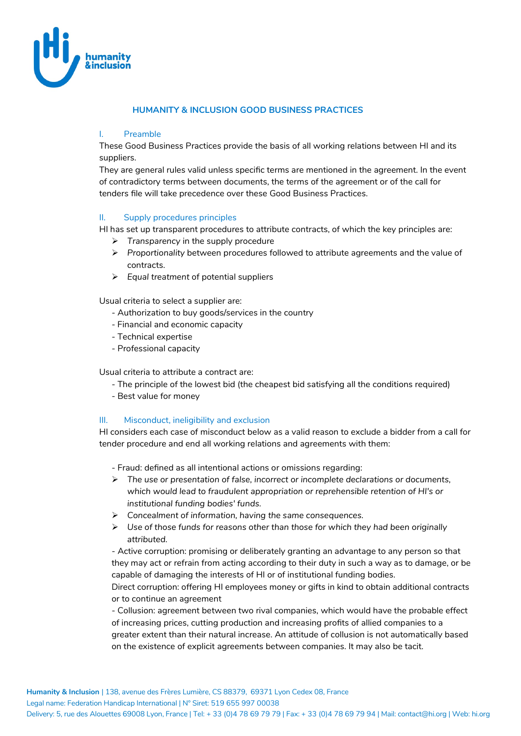

### **HUMANITY & INCLUSION GOOD BUSINESS PRACTICES**

#### I. Preamble

These Good Business Practices provide the basis of all working relations between HI and its suppliers.

They are general rules valid unless specific terms are mentioned in the agreement. In the event of contradictory terms between documents, the terms of the agreement or of the call for tenders file will take precedence over these Good Business Practices.

### II. Supply procedures principles

HI has set up transparent procedures to attribute contracts, of which the key principles are:

- *Transparency* in the supply procedure
- *Proportionality* between procedures followed to attribute agreements and the value of contracts.
- *Equal treatment* of potential suppliers

Usual criteria to select a supplier are:

- Authorization to buy goods/services in the country
- Financial and economic capacity
- Technical expertise
- Professional capacity

Usual criteria to attribute a contract are:

- The principle of the lowest bid (the cheapest bid satisfying all the conditions required)
- Best value for money

## III. Misconduct, ineligibility and exclusion

HI considers each case of misconduct below as a valid reason to exclude a bidder from a call for tender procedure and end all working relations and agreements with them:

- Fraud: defined as all intentional actions or omissions regarding:

- *The use or presentation of false, incorrect or incomplete declarations or documents, which would lead to fraudulent appropriation or reprehensible retention of HI's or institutional funding bodies' funds.*
- *Concealment of information, having the same consequences.*
- *Use of those funds for reasons other than those for which they had been originally attributed.*

- Active corruption: promising or deliberately granting an advantage to any person so that they may act or refrain from acting according to their duty in such a way as to damage, or be capable of damaging the interests of HI or of institutional funding bodies.

Direct corruption: offering HI employees money or gifts in kind to obtain additional contracts or to continue an agreement

- Collusion: agreement between two rival companies, which would have the probable effect of increasing prices, cutting production and increasing profits of allied companies to a greater extent than their natural increase. An attitude of collusion is not automatically based on the existence of explicit agreements between companies. It may also be tacit.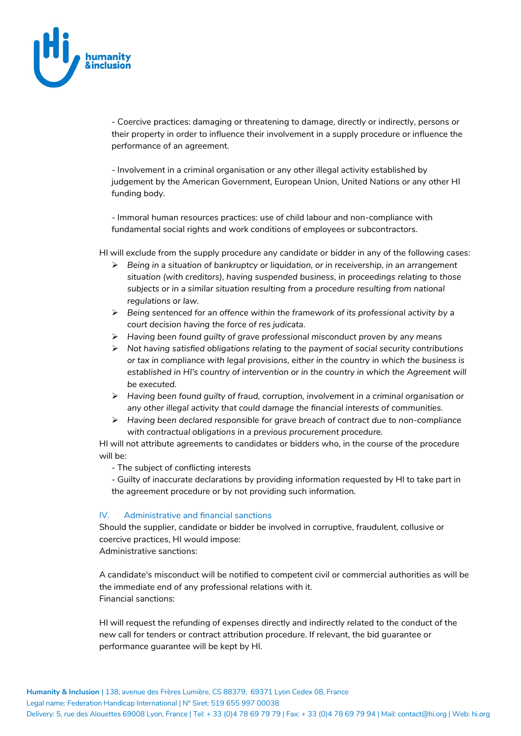

- Coercive practices: damaging or threatening to damage, directly or indirectly, persons or their property in order to influence their involvement in a supply procedure or influence the performance of an agreement.

- Involvement in a criminal organisation or any other illegal activity established by judgement by the American Government, European Union, United Nations or any other HI funding body.

- Immoral human resources practices: use of child labour and non-compliance with fundamental social rights and work conditions of employees or subcontractors.

HI will exclude from the supply procedure any candidate or bidder in any of the following cases:

- *Being in a situation of bankruptcy or liquidation, or in receivership, in an arrangement situation (with creditors), having suspended business, in proceedings relating to those subjects or in a similar situation resulting from a procedure resulting from national regulations or law.*
- *Being sentenced for an offence within the framework of its professional activity by a court decision having the force of res judicata.*
- *Having been found guilty of grave professional misconduct proven by any means*
- *Not having satisfied obligations relating to the payment of social security contributions or tax in compliance with legal provisions, either in the country in which the business is*  established in HI's country of intervention or in the country in which the Agreement will *be executed.*
- *Having been found guilty of fraud, corruption, involvement in a criminal organisation or any other illegal activity that could damage the financial interests of communities.*
- *Having been declared responsible for grave breach of contract due to non-compliance with contractual obligations in a previous procurement procedure.*

HI will not attribute agreements to candidates or bidders who, in the course of the procedure will be:

- The subject of conflicting interests
- Guilty of inaccurate declarations by providing information requested by HI to take part in the agreement procedure or by not providing such information.

#### IV. Administrative and financial sanctions

Should the supplier, candidate or bidder be involved in corruptive, fraudulent, collusive or coercive practices, HI would impose:

Administrative sanctions:

A candidate's misconduct will be notified to competent civil or commercial authorities as will be the immediate end of any professional relations with it. Financial sanctions:

HI will request the refunding of expenses directly and indirectly related to the conduct of the new call for tenders or contract attribution procedure. If relevant, the bid guarantee or performance guarantee will be kept by HI.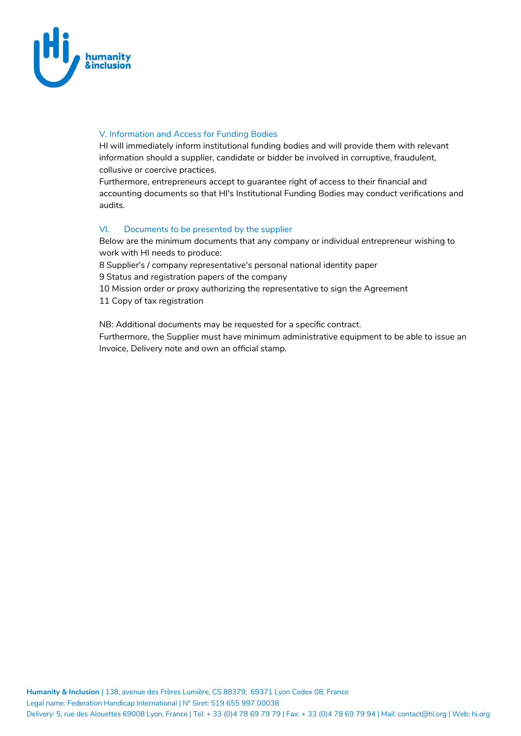

# V. Information and Access for Funding Bodies

HI will immediately inform institutional funding bodies and will provide them with relevant information should a supplier, candidate or bidder be involved in corruptive, fraudulent, collusive or coercive practices.

Furthermore, entrepreneurs accept to guarantee right of access to their financial and accounting documents so that HI's Institutional Funding Bodies may conduct verifications and audits.

## VI. Documents to be presented by the supplier

Below are the minimum documents that any company or individual entrepreneur wishing to work with HI needs to produce:

8 Supplier's / company representative's personal national identity paper

9 Status and registration papers of the company

10 Mission order or proxy authorizing the representative to sign the Agreement

11 Copy of tax registration

NB: Additional documents may be requested for a specific contract.

Furthermore, the Supplier must have minimum administrative equipment to be able to issue an Invoice, Delivery note and own an official stamp.